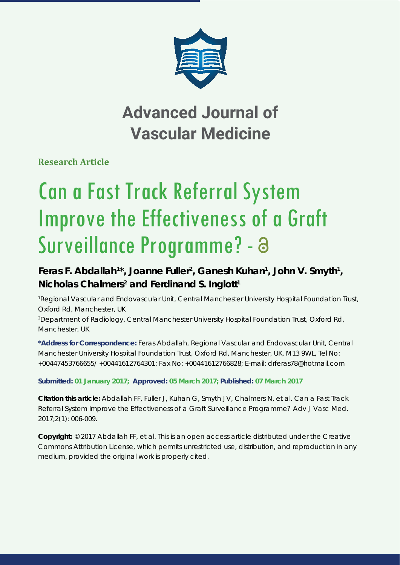

## **Advanced Journal of Vascular Medicine**

**Research Article**

# Can a Fast Track Referral System Improve the Effectiveness of a Graft Surveillance Programme? - 8

### Feras F. Abdallah<sup>1\*</sup>, Joanne Fuller<sup>2</sup>, Ganesh Kuhan<sup>1</sup>, John V. Smyth<sup>1</sup>, Nicholas Chalmers<sup>2</sup> and Ferdinand S. Inglott<sup>1</sup>

*1 Regional Vascular and Endovascular Unit, Central Manchester University Hospital Foundation Trust, Oxford Rd, Manchester, UK 2 Department of Radiology, Central Manchester University Hospital Foundation Trust, Oxford Rd, Manchester, UK*

**\*Address for Correspondence:** Feras Abdallah, Regional Vascular and Endovascular Unit, Central Manchester University Hospital Foundation Trust, Oxford Rd, Manchester, UK, M13 9WL, Tel No: +00447453766655/ +00441612764301; Fax No: +00441612766828; E-mail: drferas78@hotmail.com

#### **Submitted: 01 January 2017; Approved: 05 March 2017; Published: 07 March 2017**

**Citation this article:** Abdallah FF, Fuller J, Kuhan G, Smyth JV, Chalmers N, et al. Can a Fast Track Referral System Improve the Effectiveness of a Graft Surveillance Programme? Adv J Vasc Med. 2017;2(1): 006-009.

**Copyright:** © 2017 Abdallah FF, et al. This is an open access article distributed under the Creative Commons Attribution License, which permits unrestricted use, distribution, and reproduction in any medium, provided the original work is properly cited.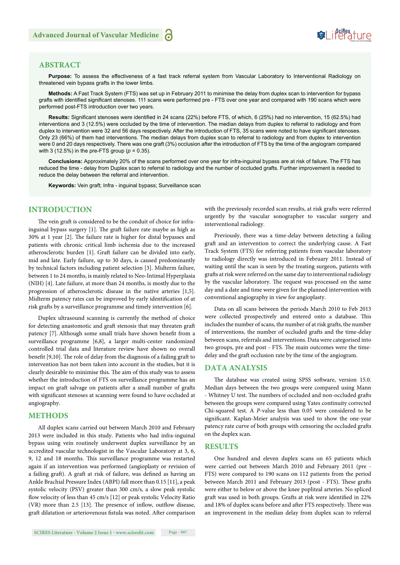

#### **ABSTRACT**

**Purpose:** To assess the effectiveness of a fast track referral system from Vascular Laboratory to Interventional Radiology on threatened vein bypass grafts in the lower limbs.

**Methods:** A Fast Track System (FTS) was set up in February 2011 to minimise the delay from duplex scan to intervention for bypass grafts with identified significant stenoses. 111 scans were performed pre - FTS over one year and compared with 190 scans which were performed post-FTS introduction over two years.

Results: Significant stenoses were identified in 24 scans (22%) before FTS, of which, 6 (25%) had no intervention, 15 (62.5%) had interventions and 3 (12.5%) were occluded by the time of intervention. The median delays from duplex to referral to radiology and from duplex to intervention were 32 and 56 days respectively. After the introduction of FTS, 35 scans were noted to have significant stenoses. Only 23 (66%) of them had interventions. The median delays from duplex scan to referral to radiology and from duplex to intervention were 0 and 20 days respectively. There was one graft (3%) occlusion after the introduction of FTS by the time of the angiogram compared with 3 (12.5%) in the pre-FTS group  $(p = 0.35)$ .

**Conclusions:** Approximately 20% of the scans performed over one year for infra-inguinal bypass are at risk of failure. The FTS has reduced the time - delay from Duplex scan to referral to radiology and the number of occluded grafts. Further improvement is needed to reduce the delay between the referral and intervention.

**Keywords:** Vein graft; Infra - inguinal bypass; Surveillance scan

#### **INTRODUCTION**

The vein graft is considered to be the conduit of choice for infrainguinal bypass surgery  $[1]$ . The graft failure rate maybe as high as  $30\%$  at 1 year [2]. The failure rate is higher for distal bypasses and patients with chronic critical limb ischemia due to the increased atherosclerotic burden [1]. Graft failure can be divided into early, mid and late. Early failure, up to 30 days, is caused predominantly by technical factors including patient selection [3]. Midterm failure, between 1 to 24 months, is mainly related to Neo-Intimal Hyperplasia (NIH) [4]. Late failure, at more than 24 months, is mostly due to the progression of atherosclerotic disease in the native arteries [1,5]. Midterm patency rates can be improved by early identification of at risk grafts by a surveillance programme and timely intervention [6].

Duplex ultrasound scanning is currently the method of choice for detecting anastomotic and graft stenosis that may threaten graft patency [7]. Although some small trials have shown benefit from a surveillance programme [6,8], a larger multi-center randomized controlled trial data and literature review have shown no overall benefit [9,10]. The role of delay from the diagnosis of a failing graft to intervention has not been taken into account in the studies, but it is clearly desirable to minimise this. The aim of this study was to assess whether the introduction of FTS on surveillance programme has an impact on graft salvage on patients after a small number of grafts with significant stenoses at scanning were found to have occluded at angiography.

#### **METHODS**

All duplex scans carried out between March 2010 and February 2013 were included in this study. Patients who had infra-inguinal bypass using vein routinely underwent duplex surveillance by an accredited vascular technologist in the Vascular Laboratory at 3, 6, 9, 12 and 18 months. This surveillance programme was restarted again if an intervention was performed (angioplasty or revision of a failing graft). A graft at risk of failure, was defined as having an Ankle Brachial Pressure Index (ABPI) fall more than 0.15 [11], a peak systolic velocity (PSV) greater than 300 cm/s, a slow peak systolic flow velocity of less than 45 cm/s [12] or peak systolic Velocity Ratio (VR) more than  $2.5$  [13]. The presence of inflow, outflow disease, graft dilatation or arteriovenous fistula was noted. After comparison with the previously recorded scan results, at risk grafts were referred urgently by the vascular sonographer to vascular surgery and interventional radiology.

Previously, there was a time-delay between detecting a failing graft and an intervention to correct the underlying cause. A Fast Track System (FTS) for referring patients from vascular laboratory to radiology directly was introduced in February 2011. Instead of waiting until the scan is seen by the treating surgeon, patients with grafts at risk were referred on the same day to interventional radiology by the vascular laboratory. The request was processed on the same day and a date and time were given for the planned intervention with conventional angiography in view for angioplasty.

Data on all scans between the periods March 2010 to Feb 2013 were collected prospectively and entered onto a database. This includes the number of scans, the number of at risk grafts, the number of interventions, the number of occluded grafts and the time-delay between scans, referrals and interventions. Data were categorised into two groups, pre and post - FTS. The main outcomes were the timedelay and the graft occlusion rate by the time of the angiogram.

#### **DATA ANALYSIS**

The database was created using SPSS software, version 15.0. Median days between the two groups were compared using Mann - Whitney U test. The numbers of occluded and non-occluded grafts between the groups were compared using Yates continuity corrected Chi-squared test. A *P*-value less than 0.05 were considered to be significant. Kaplan-Meier analysis was used to show the one-year patency rate curve of both groups with censoring the occluded grafts on the duplex scan.

#### **RESULTS**

One hundred and eleven duplex scans on 65 patients which were carried out between March 2010 and February 2011 (pre - FTS) were compared to 190 scans on 112 patients from the period between March 2011 and February 2013 (post - FTS). These grafts were either to below or above the knee popliteal arteries. No spliced graft was used in both groups. Grafts at risk were identified in 22% and 18% of duplex scans before and after FTS respectively. There was an improvement in the median delay from duplex scan to referral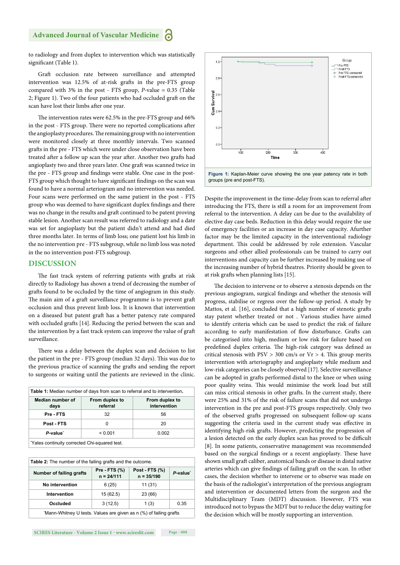to radiology and from duplex to intervention which was statistically significant (Table 1).

Graft occlusion rate between surveillance and attempted intervention was 12.5% of at-risk grafts in the pre-FTS group compared with 3% in the post - FTS group, *P-*value = 0.35 (Table 2; Figure 1). Two of the four patients who had occluded graft on the scan have lost their limbs after one year.

The intervention rates were 62.5% in the pre-FTS group and 66% in the post - FTS group. There were no reported complications after the angioplasty procedures. The remaining group with no intervention were monitored closely at three monthly intervals. Two scanned grafts in the pre - FTS which were under close observation have been treated after a follow up scan the year after. Another two grafts had angioplasty two and three years later. One graft was scanned twice in the pre - FTS group and findings were stable. One case in the post-FTS group which thought to have significant findings on the scan was found to have a normal arteriogram and no intervention was needed. Four scans were performed on the same patient in the post - FTS group who was deemed to have significant duplex findings and there was no change in the results and graft continued to be patent proving stable lesion. Another scan result was referred to radiology and a date was set for angioplasty but the patient didn't attend and had died three months later. In terms of limb loss; one patient lost his limb in the no intervention pre - FTS subgroup, while no limb loss was noted in the no intervention post-FTS subgroup.

#### **DISCUSSION**

The fast track system of referring patients with grafts at risk directly to Radiology has shown a trend of decreasing the number of grafts found to be occluded by the time of angiogram in this study. The main aim of a graft surveillance programme is to prevent graft occlusion and thus prevent limb loss. It is known that intervention on a diseased but patent graft has a better patency rate compared with occluded grafts [14]. Reducing the period between the scan and the intervention by a fast track system can improve the value of graft surveillance.

There was a delay between the duplex scan and decision to list the patient in the pre - FTS group (median 32 days). This was due to the previous practice of scanning the grafts and sending the report to surgeons or waiting until the patients are reviewed in the clinic.

| <b>Table 1:</b> Median number of days from scan to referral and to intervention. |                            |                                |  |  |
|----------------------------------------------------------------------------------|----------------------------|--------------------------------|--|--|
| Median number of<br>days                                                         | From duplex to<br>referral | From duplex to<br>intervention |  |  |
| Pre - FTS                                                                        | 32                         | 56                             |  |  |
| Post - FTS                                                                       | O                          | 20                             |  |  |
| P-value <sup>*</sup>                                                             | < 0.001                    | 0.002                          |  |  |
| "Yates continuity corrected Chi-squared test."                                   |                            |                                |  |  |

| <b>Table 2:</b> The number of the failing grafts and the outcome.  |                                      |                                |                      |  |
|--------------------------------------------------------------------|--------------------------------------|--------------------------------|----------------------|--|
| Number of failing grafts                                           | <b>Pre - FTS (%)</b><br>$n = 24/111$ | Post - FTS (%)<br>$n = 35/190$ | P-value <sup>*</sup> |  |
| No intervention                                                    | 6(25)                                | 11(31)                         |                      |  |
| <b>Intervention</b>                                                | 15(62.5)                             | 23 (66)                        |                      |  |
| Occluded                                                           | 3(12.5)                              | 1(3)                           | 0.35                 |  |
| 'Mann-Whitney U tests. Values are given as n (%) of failing grafts |                                      |                                |                      |  |



Despite the improvement in the time-delay from scan to referral after introducing the FTS, there is still a room for an improvement from referral to the intervention. A delay can be due to the availability of elective day case beds. Reduction in this delay would require the use of emergency facilities or an increase in day case capacity. Afurther factor may be the limited capacity in the interventional radiology department. This could be addressed by role extension. Vascular surgeons and other allied professionals can be trained to carry out interventions and capacity can be further increased by making use of the increasing number of hybrid theatres. Priority should be given to at risk grafts when planning lists [15].

The decision to intervene or to observe a stenosis depends on the previous angiogram, surgical findings and whether the stenosis will progress, stabilise or regress over the follow-up period. A study by Mattos, et al. [16], concluded that a high number of stenotic grafts stay patent whether treated or not . Various studies have aimed to identify criteria which can be used to predict the risk of failure according to early manifestation of flow disturbance. Grafts can be categorised into high, medium or low risk for failure based on predefined duplex criteria. The high-risk category was defined as critical stenosis with  $PSV > 300$  cm/s or  $Vr > 4$ . This group merits intervention with arteriography and angioplasty while medium and low-risk categories can be closely observed [17]. Selective surveillance can be adopted in grafts performed distal to the knee or when using poor quality veins. This would minimise the work load but still can miss critical stenosis in other grafts. In the current study, there were 25% and 31% of the risk of failure scans that did not undergo intervention in the pre and post-FTS groups respectively. Only two of the observed grafts progressed on subsequent follow-up scans suggesting the criteria used in the current study was effective in identifying high-risk grafts. However, predicting the progression of a lesion detected on the early duplex scan has proved to be difficult [8]. In some patients, conservative management was recommended based on the surgical findings or a recent angioplasty. These have shown small graft caliber, anatomical bands or disease in distal native arteries which can give findings of failing graft on the scan. In other cases, the decision whether to intervene or to observe was made on the basis of the radiologist's interpretation of the previous angiogram and intervention or documented letters from the surgeon and the Multidisciplinary Team (MDT) discussion. However, FTS was introduced not to bypass the MDT but to reduce the delay waiting for the decision which will be mostly supporting an intervention.